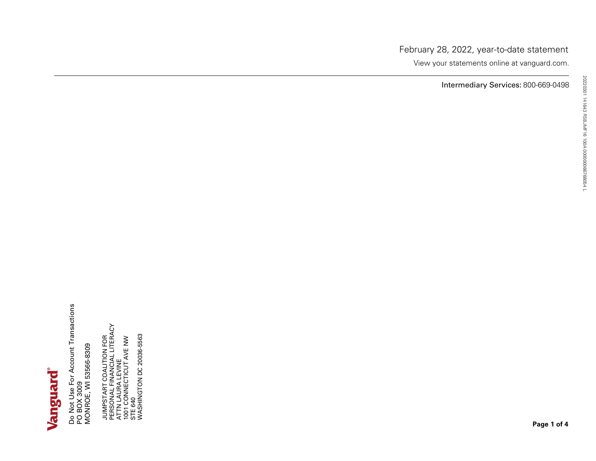# Vanguard

**Page 1 of <sup>4</sup>** JUMPSTART COALITION FOR PERSONAL FINANCIAL LITERACY ATTN LAURA LEVINE 1001 CONNECTICUT AVE NW STE 640 WASHINGTON DC 20036-5563 20220301 141643 RSBJMF16 100A <sup>000000066768054</sup> <sup>L</sup> Do Not Use For Account Transactions PO BOX 3009 MONROE, WI 53566-8309

Intermediary Services: 800-669-0498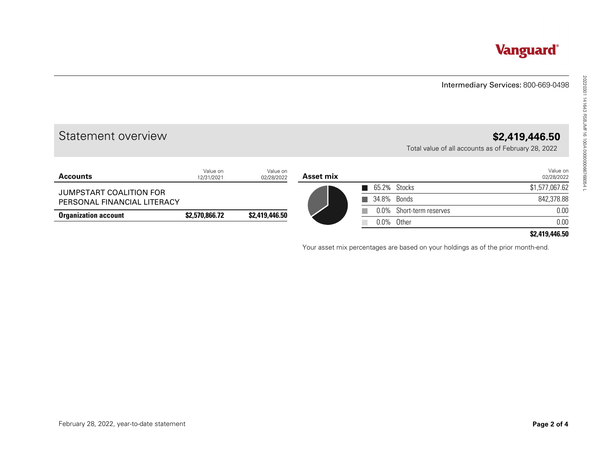# Intermediary Services: 800-669-0498

# Statement overview **\$2,419,446.50**

|                                           |                        |                        |           |              |                     | Intermediary Services: 800-669-0498                                   |
|-------------------------------------------|------------------------|------------------------|-----------|--------------|---------------------|-----------------------------------------------------------------------|
| Statement overview                        |                        |                        |           |              |                     | \$2,419,446.50<br>Total value of all accounts as of February 28, 2022 |
| <b>Accounts</b>                           | Value on<br>12/31/2021 | Value on<br>02/28/2022 | Asset mix |              |                     | Value on<br>02/28/2022                                                |
| JUMPSTART COALITION FOR                   |                        |                        |           | $\mathbf{r}$ | 65.2% Stocks        | \$1,577,067.62                                                        |
| PERSONAL FINANCIAL LITERACY               |                        |                        |           |              | 34.8% Bonds         | 842,378.88                                                            |
| <b>Organization account</b>               | \$2,570,866.72         | \$2,419,446.50         |           | $0.0\%$      | Short-term reserves | 0.00                                                                  |
|                                           |                        |                        |           |              | 0.0% Other          | 0.00                                                                  |
|                                           |                        |                        |           |              |                     |                                                                       |
|                                           |                        |                        |           |              |                     |                                                                       |
|                                           |                        |                        |           |              |                     |                                                                       |
|                                           |                        |                        |           |              |                     |                                                                       |
|                                           |                        |                        |           |              |                     |                                                                       |
|                                           |                        |                        |           |              |                     |                                                                       |
| February 28, 2022, year-to-date statement |                        |                        |           |              |                     | Page 2 of 4                                                           |

# **\$2,419,446.50**

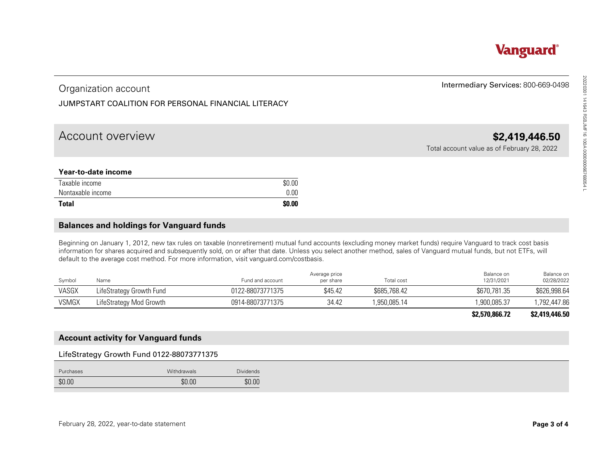**Vanguard**®

# Organization account

# JUMPSTART COALITION FOR PERSONAL FINANCIAL LITERACY

# Account overview **\$2,419,446.50**

## **Year-to-date income**

| Taxable income    | \$0.00 |
|-------------------|--------|
| Nontaxable income | 0.00   |
| <b>Total</b>      | \$0.00 |

# **Balances and holdings for Vanguard funds**

| Organization account                                                                                                                                                                                                                      |                  |                            |              | Intermediary Services: 800-669-0498         |                                          |
|-------------------------------------------------------------------------------------------------------------------------------------------------------------------------------------------------------------------------------------------|------------------|----------------------------|--------------|---------------------------------------------|------------------------------------------|
| JUMPSTART COALITION FOR PERSONAL FINANCIAL LITERACY                                                                                                                                                                                       |                  |                            |              |                                             |                                          |
| Account overview                                                                                                                                                                                                                          |                  |                            |              | Total account value as of February 28, 2022 | \$2,419,446.50                           |
| Year-to-date income                                                                                                                                                                                                                       |                  |                            |              |                                             |                                          |
| Taxable income                                                                                                                                                                                                                            | \$0.00           |                            |              |                                             |                                          |
| Nontaxable income                                                                                                                                                                                                                         | 0.00             |                            |              |                                             |                                          |
|                                                                                                                                                                                                                                           | \$0.00           |                            |              |                                             |                                          |
|                                                                                                                                                                                                                                           |                  |                            |              |                                             |                                          |
| <b>Balances and holdings for Vanguard funds</b><br>Beginning on January 1, 2012, new tax rules on taxable (nonretirement) mutual fund accounts (excluding money market funds) require Vanguard to track cost basis                        |                  |                            |              |                                             |                                          |
| default to the average cost method. For more information, visit vanguard.com/costbasis.<br>Symbol<br>Name                                                                                                                                 | Fund and account | Average price<br>per share | Total cost   | Balance on<br>12/31/2021                    |                                          |
| LifeStrategy Growth Fund                                                                                                                                                                                                                  | 0122-88073771375 | \$45.42                    | \$685,768.42 | \$670,781.35                                | Balance on<br>02/28/2022<br>\$626,998.64 |
| LifeStrategy Mod Growth                                                                                                                                                                                                                   | 0914-88073771375 | 34.42                      | 1,950,085.14 | 1,900,085.37                                | 1,792,447.86                             |
| <b>VSMGX</b>                                                                                                                                                                                                                              |                  |                            |              | \$2,570,866.72                              | \$2,419,446.50                           |
| <b>Total</b><br>information for shares acquired and subsequently sold, on or after that date. Unless you select another method, sales of Vanguard mutual funds, but not ETFs, will<br>VASGX<br><b>Account activity for Vanguard funds</b> |                  |                            |              |                                             |                                          |
| LifeStrategy Growth Fund 0122-88073771375                                                                                                                                                                                                 |                  |                            |              |                                             |                                          |
| Purchases<br>Withdrawals                                                                                                                                                                                                                  | <b>Dividends</b> |                            |              |                                             |                                          |

#### **\$2,570,866.72 \$2,419,446.50**

# **Account activity for Vanguard funds**

## LifeStrategy Growth Fund 0122-88073771375

| Purchases | Withdrawals | <b>Dividends</b> |
|-----------|-------------|------------------|
| \$0.00    | \$0.00      | \$0.00           |